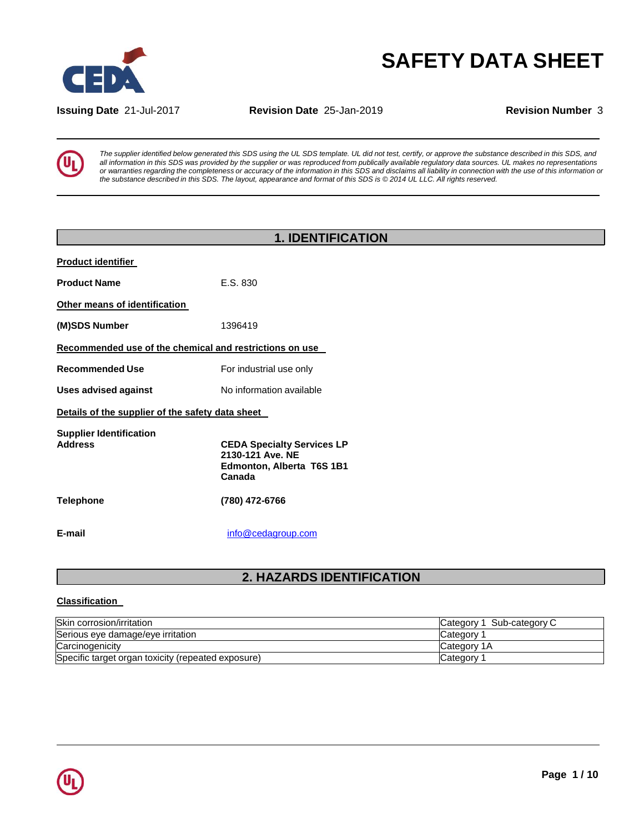

# **SAFETY DATA SHEET**

**Issuing Date** 21-Jul-2017 **Revision Date** 25-Jan-2019 **Revision Number** 3

The supplier identified below generated this SDS using the UL SDS template. UL did not test, certify, or approve the substance described in this SDS, and all information in this SDS was provided by the supplier or was reproduced from publically available regulatory data sources. UL makes no representations or warranties regarding the completeness or accuracy of the information in this SDS and disclaims all liability in connection with the use of this information or the substance described in this SDS. The layout, appearance and format of this SDS is @ 2014 UL LLC. All rights reserved.

|                                                         | <b>1. IDENTIFICATION</b>                                                                     |
|---------------------------------------------------------|----------------------------------------------------------------------------------------------|
| <b>Product identifier</b>                               |                                                                                              |
| <b>Product Name</b>                                     | E.S. 830                                                                                     |
| Other means of identification                           |                                                                                              |
| (M)SDS Number                                           | 1396419                                                                                      |
| Recommended use of the chemical and restrictions on use |                                                                                              |
| <b>Recommended Use</b>                                  | For industrial use only                                                                      |
| <b>Uses advised against</b>                             | No information available                                                                     |
| Details of the supplier of the safety data sheet        |                                                                                              |
| <b>Supplier Identification</b><br><b>Address</b>        | <b>CEDA Specialty Services LP</b><br>2130-121 Ave. NE<br>Edmonton, Alberta T6S 1B1<br>Canada |
| <b>Telephone</b>                                        | (780) 472-6766                                                                               |
| E-mail                                                  | info@cedagroup.com                                                                           |

# **2. HAZARDS IDENTIFICATION**

#### **Classification**

| Skin corrosion/irritation                          | Category 1 Sub-category C |
|----------------------------------------------------|---------------------------|
| Serious eye damage/eye irritation                  | Category 1                |
| Carcinogenicity                                    | Category 1A               |
| Specific target organ toxicity (repeated exposure) | <b>Category</b>           |

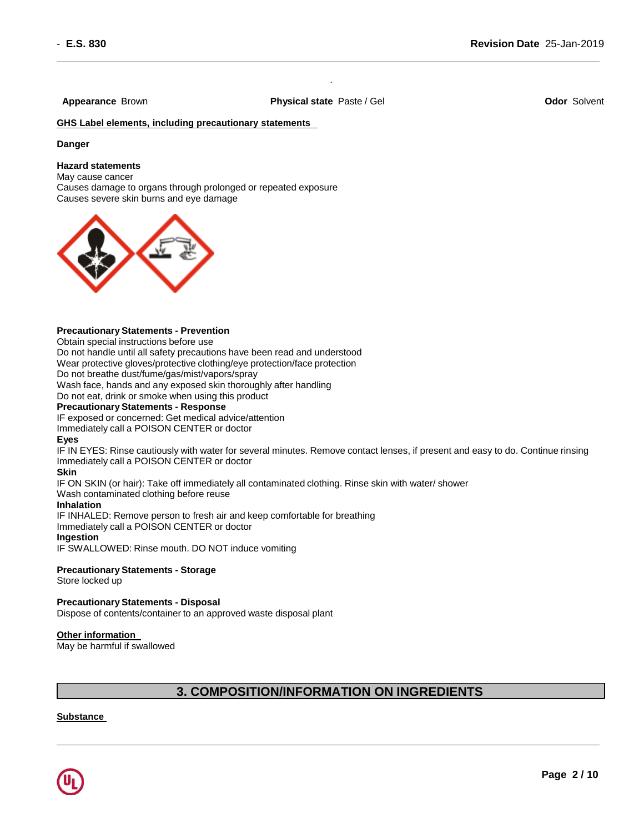**Appearance** Brown **Physical state** Paste / Gel **Odor** Solvent

.

**GHS Label elements, including precautionary statements** 

#### **Danger**

#### **Hazard statements**

May cause cancer Causes damage to organs through prolonged or repeated exposure Causes severe skin burns and eye damage



#### **Precautionary Statements - Prevention**

Obtain special instructions before use

Do not handle until all safety precautions have been read and understood

Wear protective gloves/protective clothing/eye protection/face protection

Do not breathe dust/fume/gas/mist/vapors/spray

Wash face, hands and any exposed skin thoroughly after handling

Do not eat, drink or smoke when using this product

#### **Precautionary Statements - Response**

IF exposed or concerned: Get medical advice/attention

Immediately call a POISON CENTER or doctor

#### **Eyes**

IF IN EYES: Rinse cautiously with water for several minutes. Remove contact lenses, if present and easy to do. Continue rinsing Immediately call a POISON CENTER or doctor

#### **Skin**

IF ON SKIN (or hair): Take off immediately all contaminated clothing. Rinse skin with water/ shower

Wash contaminated clothing before reuse

#### **Inhalation**

IF INHALED: Remove person to fresh air and keep comfortable for breathing Immediately call a POISON CENTER or doctor **Ingestion** IF SWALLOWED: Rinse mouth. DO NOT induce vomiting

#### **Precautionary Statements - Storage**

Store locked up

#### **Precautionary Statements - Disposal**

Dispose of contents/container to an approved waste disposal plant

#### **Other information**

May be harmful if swallowed

# **3. COMPOSITION/INFORMATION ON INGREDIENTS**

#### **Substance**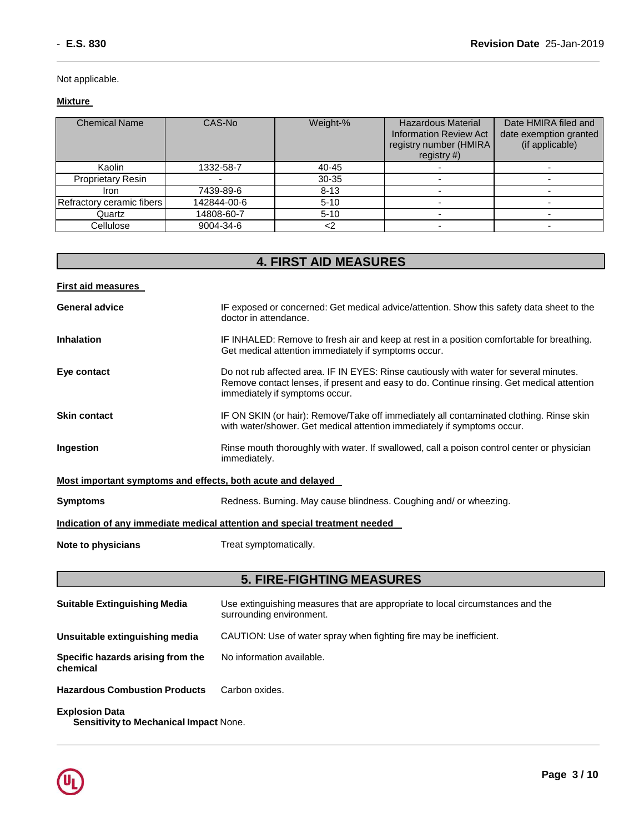Not applicable.

### **Mixture**

| <b>Chemical Name</b>      | CAS-No      | Weight-%  | <b>Hazardous Material</b><br><b>Information Review Act</b><br>registry number (HMIRA<br>registry $#$ ) | Date HMIRA filed and<br>date exemption granted<br>(if applicable) |
|---------------------------|-------------|-----------|--------------------------------------------------------------------------------------------------------|-------------------------------------------------------------------|
| Kaolin                    | 1332-58-7   | 40-45     |                                                                                                        |                                                                   |
| <b>Proprietary Resin</b>  |             | $30 - 35$ |                                                                                                        |                                                                   |
| <b>Iron</b>               | 7439-89-6   | $8 - 13$  |                                                                                                        |                                                                   |
| Refractory ceramic fibers | 142844-00-6 | $5 - 10$  |                                                                                                        |                                                                   |
| Quartz                    | 14808-60-7  | $5 - 10$  |                                                                                                        |                                                                   |
| Cellulose                 | 9004-34-6   |           | -                                                                                                      |                                                                   |

# **4. FIRST AID MEASURES**

| <b>First aid measures</b>                                   |                                                                                                                                                                                                                       |
|-------------------------------------------------------------|-----------------------------------------------------------------------------------------------------------------------------------------------------------------------------------------------------------------------|
| <b>General advice</b>                                       | IF exposed or concerned: Get medical advice/attention. Show this safety data sheet to the<br>doctor in attendance.                                                                                                    |
| <b>Inhalation</b>                                           | IF INHALED: Remove to fresh air and keep at rest in a position comfortable for breathing.<br>Get medical attention immediately if symptoms occur.                                                                     |
| Eye contact                                                 | Do not rub affected area. IF IN EYES: Rinse cautiously with water for several minutes.<br>Remove contact lenses, if present and easy to do. Continue rinsing. Get medical attention<br>immediately if symptoms occur. |
| <b>Skin contact</b>                                         | IF ON SKIN (or hair): Remove/Take off immediately all contaminated clothing. Rinse skin<br>with water/shower. Get medical attention immediately if symptoms occur.                                                    |
| Ingestion                                                   | Rinse mouth thoroughly with water. If swallowed, call a poison control center or physician<br>immediately.                                                                                                            |
| Most important symptoms and effects, both acute and delayed |                                                                                                                                                                                                                       |
| <b>Symptoms</b>                                             | Redness. Burning. May cause blindness. Coughing and/ or wheezing.                                                                                                                                                     |
|                                                             | Indication of any immediate medical attention and special treatment needed                                                                                                                                            |
| Note to physicians                                          | Treat symptomatically.                                                                                                                                                                                                |
|                                                             | <b>5. FIRE-FIGHTING MEASURES</b>                                                                                                                                                                                      |
|                                                             |                                                                                                                                                                                                                       |
| <b>Suitable Extinguishing Media</b>                         | Use extinguishing measures that are appropriate to local circumstances and the<br>surrounding environment.                                                                                                            |
| Unsuitable extinguishing media                              | CAUTION: Use of water spray when fighting fire may be inefficient.                                                                                                                                                    |

**Specific hazards arising from the chemical** No information available.

**Hazardous Combustion Products** Carbon oxides.

#### **Explosion Data**

**Sensitivity to Mechanical Impact** None.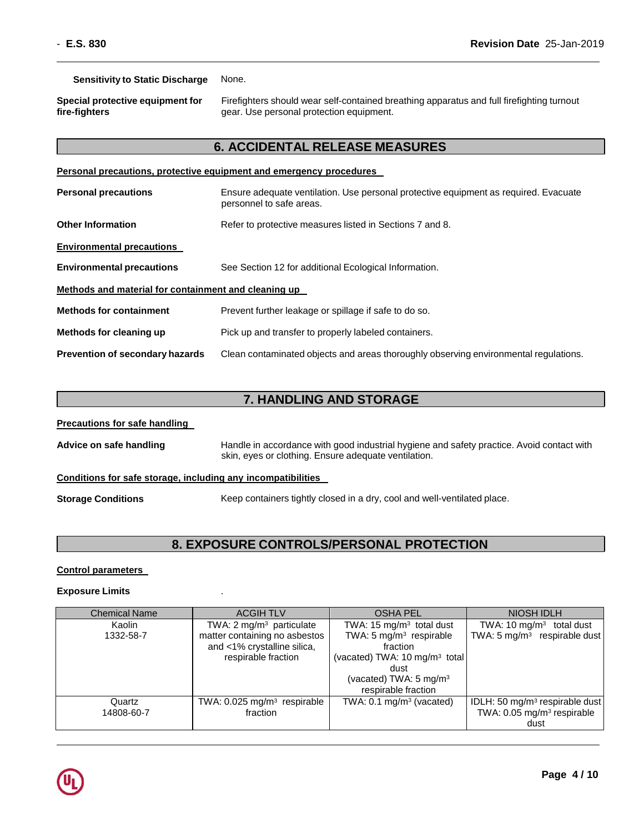**Sensitivity to Static Discharge** None.

**Special protective equipment for fire-fighters**

Firefighters should wear self-contained breathing apparatus and full firefighting turnout gear. Use personal protection equipment.

## **6. ACCIDENTAL RELEASE MEASURES**

|                                                      | Personal precautions, protective equipment and emergency procedures                                              |
|------------------------------------------------------|------------------------------------------------------------------------------------------------------------------|
| <b>Personal precautions</b>                          | Ensure adequate ventilation. Use personal protective equipment as required. Evacuate<br>personnel to safe areas. |
| <b>Other Information</b>                             | Refer to protective measures listed in Sections 7 and 8.                                                         |
| <b>Environmental precautions</b>                     |                                                                                                                  |
| <b>Environmental precautions</b>                     | See Section 12 for additional Ecological Information.                                                            |
| Methods and material for containment and cleaning up |                                                                                                                  |
| <b>Methods for containment</b>                       | Prevent further leakage or spillage if safe to do so.                                                            |
| Methods for cleaning up                              | Pick up and transfer to properly labeled containers.                                                             |
| <b>Prevention of secondary hazards</b>               | Clean contaminated objects and areas thoroughly observing environmental regulations.                             |

# **7. HANDLING AND STORAGE**

**Precautions for safe handling Advice on safe handling** Handle in accordance with good industrial hygiene and safety practice. Avoid contact with skin, eyes or clothing. Ensure adequate ventilation. **Conditions for safe storage, including any incompatibilities Storage Conditions** Keep containers tightly closed in a dry, cool and well-ventilated place.

# **8. EXPOSURE CONTROLS/PERSONAL PROTECTION**

#### **Control parameters**

#### **Exposure Limits** .

| <b>Chemical Name</b> | <b>ACGIHTLV</b>                           | <b>OSHA PEL</b>                           | <b>NIOSH IDLH</b>                          |
|----------------------|-------------------------------------------|-------------------------------------------|--------------------------------------------|
| Kaolin               | TWA: $2 \text{ mg/m}^3$ particulate       | TWA: $15 \text{ mg/m}^3$ total dust       | TWA: 10 $mq/m3$ total dust                 |
| 1332-58-7            | matter containing no asbestos             | TWA: 5 mg/m <sup>3</sup> respirable       | TWA: 5 mg/m <sup>3</sup> respirable dust   |
|                      | and <1% crystalline silica,               | fraction                                  |                                            |
|                      | respirable fraction                       | (vacated) TWA: 10 mg/m <sup>3</sup> total |                                            |
|                      |                                           | dust                                      |                                            |
|                      |                                           | (vacated) TWA: $5 \text{ mg/m}^3$         |                                            |
|                      |                                           | respirable fraction                       |                                            |
| Quartz               | TWA: $0.025$ mg/m <sup>3</sup> respirable | TWA: $0.1 \text{ mg/m}^3$ (vacated)       | IDLH: 50 mg/m <sup>3</sup> respirable dust |
| 14808-60-7           | fraction                                  |                                           | TWA: 0.05 mg/m <sup>3</sup> respirable     |
|                      |                                           |                                           | dust                                       |

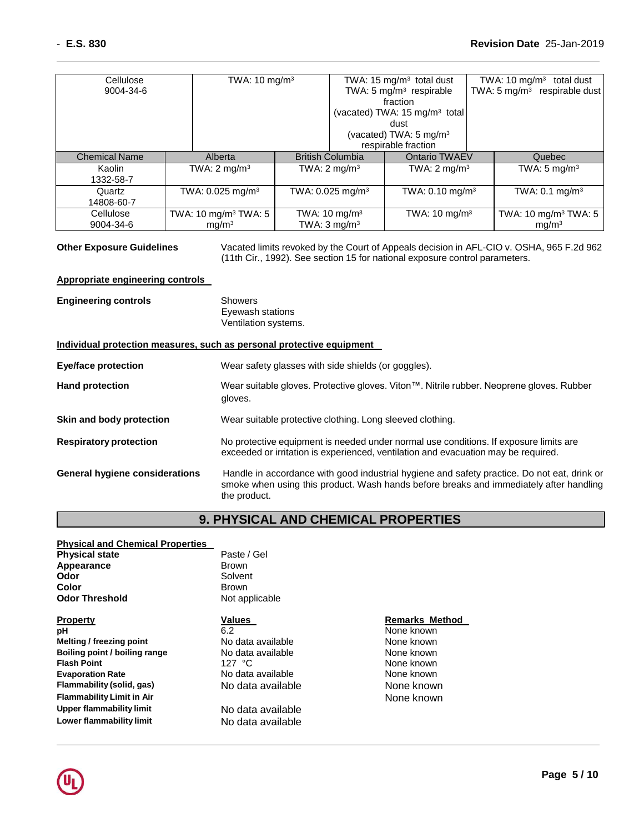| Cellulose<br>$9004 - 34 - 6$ |                                                       | TWA: $10 \text{ mg/m}^3$ |                                                     | TWA: 15 mg/m <sup>3</sup> total dust<br>TWA: $5 \text{ mg/m}^3$ respirable | TWA: $10 \text{ mg/m}^3$<br>total dust<br>TWA: 5 mg/m <sup>3</sup> respirable dust |
|------------------------------|-------------------------------------------------------|--------------------------|-----------------------------------------------------|----------------------------------------------------------------------------|------------------------------------------------------------------------------------|
|                              |                                                       |                          |                                                     | fraction<br>(vacated) TWA: 15 mg/m <sup>3</sup> total                      |                                                                                    |
|                              |                                                       |                          |                                                     | dust<br>(vacated) TWA: $5 \text{ mg/m}^3$<br>respirable fraction           |                                                                                    |
| <b>Chemical Name</b>         | Alberta                                               |                          | <b>British Columbia</b>                             | Ontario TWAEV                                                              | Quebec                                                                             |
| Kaolin<br>1332-58-7          | TWA: $2 \text{ mg/m}^3$                               |                          | TWA: $2 \text{ mg/m}^3$                             | TWA: $2 \text{ mg/m}^3$                                                    | TWA: $5 \text{ mg/m}^3$                                                            |
| Quartz<br>14808-60-7         | TWA: 0.025 mg/m <sup>3</sup>                          |                          | TWA: 0.025 mg/m <sup>3</sup>                        | TWA: 0.10 mg/m <sup>3</sup>                                                | TWA: $0.1$ mg/m <sup>3</sup>                                                       |
| Cellulose<br>9004-34-6       | TWA: 10 mg/m <sup>3</sup> TWA: 5<br>mg/m <sup>3</sup> |                          | TWA: $10 \text{ mg/m}^3$<br>TWA: $3 \text{ mg/m}^3$ | TWA: $10 \text{ mg/m}^3$                                                   | TWA: 10 mg/m <sup>3</sup> TWA: 5<br>mq/m <sup>3</sup>                              |

**Other Exposure Guidelines** Vacated limits revoked by the Court of Appeals decision in AFL-CIO v. OSHA, 965 F.2d 962 (11th Cir., 1992). See section 15 for national exposure control parameters.

#### **Appropriate engineering controls**

| <b>Engineering controls</b>           | <b>Showers</b><br>Eyewash stations<br>Ventilation systems.                                                                                                                                            |
|---------------------------------------|-------------------------------------------------------------------------------------------------------------------------------------------------------------------------------------------------------|
|                                       | Individual protection measures, such as personal protective equipment                                                                                                                                 |
| <b>Eye/face protection</b>            | Wear safety glasses with side shields (or goggles).                                                                                                                                                   |
| <b>Hand protection</b>                | Wear suitable gloves. Protective gloves. Viton™. Nitrile rubber. Neoprene gloves. Rubber<br>gloves.                                                                                                   |
| Skin and body protection              | Wear suitable protective clothing. Long sleeved clothing.                                                                                                                                             |
| <b>Respiratory protection</b>         | No protective equipment is needed under normal use conditions. If exposure limits are<br>exceeded or irritation is experienced, ventilation and evacuation may be required.                           |
| <b>General hygiene considerations</b> | Handle in accordance with good industrial hygiene and safety practice. Do not eat, drink or<br>smoke when using this product. Wash hands before breaks and immediately after handling<br>the product. |

# **9. PHYSICAL AND CHEMICAL PROPERTIES**

| Paste / Gel       |                       |
|-------------------|-----------------------|
| Brown             |                       |
| Solvent           |                       |
| <b>Brown</b>      |                       |
| Not applicable    |                       |
| <b>Values</b>     | <b>Remarks Method</b> |
| 6.2               | None known            |
| No data available | None known            |
| No data available | None known            |
| 127 °C            | None known            |
| No data available | None known            |
| No data available | None known            |
|                   | None known            |
| No data available |                       |
| No data available |                       |
|                   |                       |

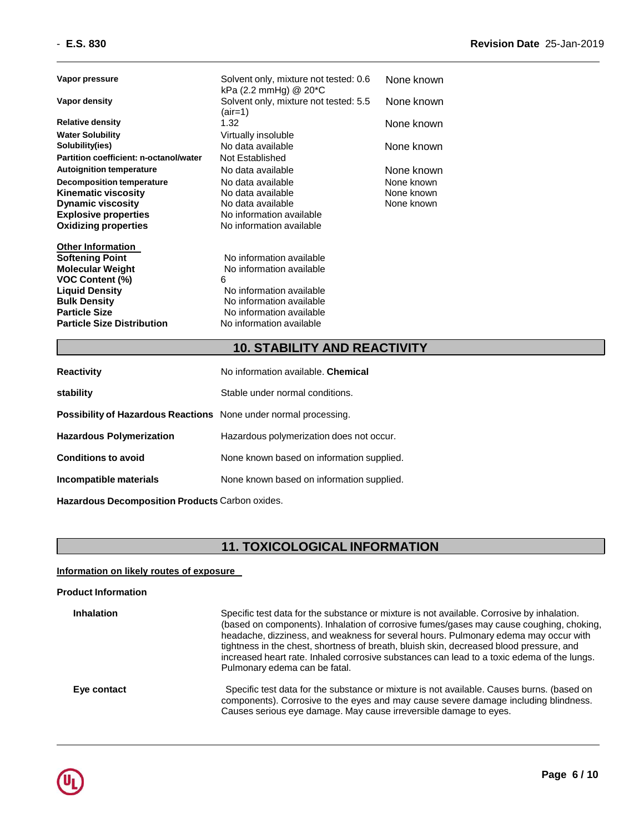| Vapor pressure                         | Solvent only, mixture not tested: 0.6<br>kPa (2.2 mmHg) @ 20*C | None known |
|----------------------------------------|----------------------------------------------------------------|------------|
| Vapor density                          | Solvent only, mixture not tested: 5.5<br>$(air=1)$             | None known |
| <b>Relative density</b>                | 1.32                                                           | None known |
| <b>Water Solubility</b>                | Virtually insoluble                                            |            |
| Solubility(ies)                        | No data available                                              | None known |
| Partition coefficient: n-octanol/water | Not Established                                                |            |
| <b>Autoignition temperature</b>        | No data available                                              | None known |
| <b>Decomposition temperature</b>       | No data available                                              | None known |
| <b>Kinematic viscosity</b>             | No data available                                              | None known |
| <b>Dynamic viscosity</b>               | No data available                                              | None known |
| <b>Explosive properties</b>            | No information available                                       |            |
| <b>Oxidizing properties</b>            | No information available                                       |            |
| <b>Other Information</b>               |                                                                |            |
| <b>Softening Point</b>                 | No information available                                       |            |
| <b>Molecular Weight</b>                | No information available                                       |            |
| <b>VOC Content (%)</b>                 | 6                                                              |            |
| <b>Liquid Density</b>                  | No information available                                       |            |
| <b>Bulk Density</b>                    | No information available                                       |            |
| <b>Particle Size</b>                   | No information available                                       |            |
| <b>Particle Size Distribution</b>      | No information available                                       |            |
|                                        |                                                                |            |

### **10. STABILITY AND REACTIVITY**

| <b>Reactivity</b>                                                       | No information available. Chemical        |
|-------------------------------------------------------------------------|-------------------------------------------|
| stability                                                               | Stable under normal conditions.           |
| <b>Possibility of Hazardous Reactions</b> None under normal processing. |                                           |
| <b>Hazardous Polymerization</b>                                         | Hazardous polymerization does not occur.  |
| <b>Conditions to avoid</b>                                              | None known based on information supplied. |
| Incompatible materials                                                  | None known based on information supplied. |
|                                                                         |                                           |

**Hazardous Decomposition Products** Carbon oxides.

# **11. TOXICOLOGICAL INFORMATION**

#### **Information on likely routes of exposure**

#### **Product Information**

**Inhalation** Specific test data for the substance or mixture is not available. Corrosive by inhalation. (based on components). Inhalation of corrosive fumes/gases may cause coughing, choking, headache, dizziness, and weakness for several hours. Pulmonary edema may occur with tightness in the chest, shortness of breath, bluish skin, decreased blood pressure, and increased heart rate. Inhaled corrosive substances can lead to a toxic edema of the lungs. Pulmonary edema can be fatal.

**Eye contact** Specific test data for the substance or mixture is not available. Causes burns. (based on components). Corrosive to the eyes and may cause severe damage including blindness. Causes serious eye damage. May cause irreversible damage to eyes.

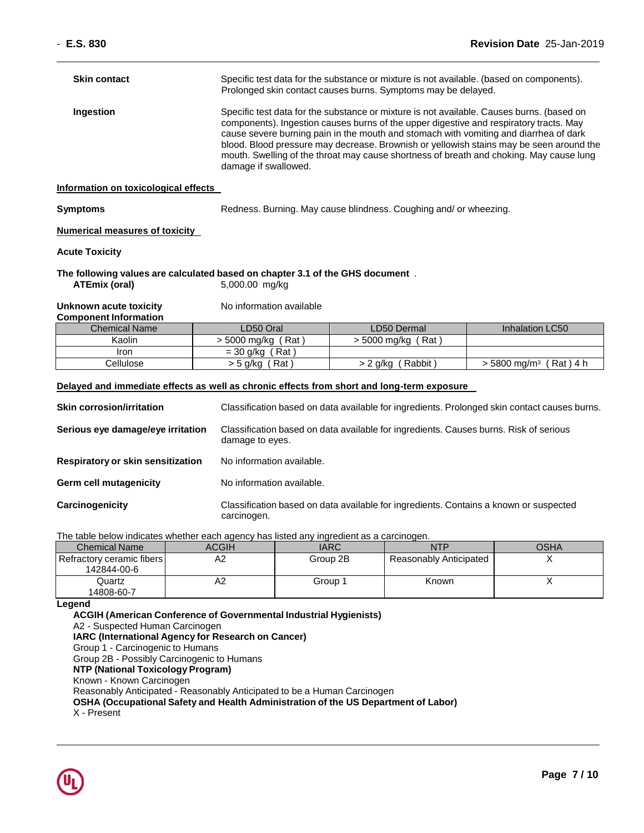| <b>Skin contact</b>                  | Specific test data for the substance or mixture is not available. (based on components).<br>Prolonged skin contact causes burns. Symptoms may be delayed.                                                                                                                                                                                                                                                                                                                                  |
|--------------------------------------|--------------------------------------------------------------------------------------------------------------------------------------------------------------------------------------------------------------------------------------------------------------------------------------------------------------------------------------------------------------------------------------------------------------------------------------------------------------------------------------------|
| Ingestion                            | Specific test data for the substance or mixture is not available. Causes burns. (based on<br>components). Ingestion causes burns of the upper digestive and respiratory tracts. May<br>cause severe burning pain in the mouth and stomach with vomiting and diarrhea of dark<br>blood. Blood pressure may decrease. Brownish or yellowish stains may be seen around the<br>mouth. Swelling of the throat may cause shortness of breath and choking. May cause lung<br>damage if swallowed. |
| Information on toxicological effects |                                                                                                                                                                                                                                                                                                                                                                                                                                                                                            |

**Symptoms** Redness. Burning. May cause blindness. Coughing and/ or wheezing.

#### **Numerical measures of toxicity**

#### **Acute Toxicity**

# **The following values are calculated based on chapter 3.1 of the GHS document** .

**ATEmix (oral)** 5,000.00 mg/kg

| Unknown acute toxicity |  |
|------------------------|--|
|                        |  |

## **No information available**

#### **Component Information**

| <b>Chemical Name</b> | LD50 Oral            | LD50 Dermal           | Inhalation LC50                           |
|----------------------|----------------------|-----------------------|-------------------------------------------|
| Kaolin               | Rat<br>> 5000 ma/ka  | ˈRat<br>> 5000 ma/ka  |                                           |
| Iron                 | ′ Rat<br>$=$ 30 g/kg |                       |                                           |
| Cellulose            | , Rat<br>> 5 g/kg    | ' Rabbit,<br>> 2 g/kg | $(Rat)$ 4 h<br>$> 5800$ mg/m <sup>3</sup> |

#### **Delayed and immediate effects as well as chronic effects from short and long-term exposure**

| <b>Skin corrosion/irritation</b>         | Classification based on data available for ingredients. Prolonged skin contact causes burns.             |
|------------------------------------------|----------------------------------------------------------------------------------------------------------|
| Serious eye damage/eye irritation        | Classification based on data available for ingredients. Causes burns. Risk of serious<br>damage to eyes. |
| <b>Respiratory or skin sensitization</b> | No information available.                                                                                |
| Germ cell mutagenicity                   | No information available.                                                                                |
| Carcinogenicity                          | Classification based on data available for ingredients. Contains a known or suspected<br>carcinogen.     |

The table below indicates whether each agency has listed any ingredient as a carcinogen.

| <b>Chemical Name</b>      | ACGIH | <b>IARC</b> | <b>NTP</b>             | <b>OSHA</b> |
|---------------------------|-------|-------------|------------------------|-------------|
| Refractory ceramic fibers | Α2    | Group 2B    | Reasonably Anticipated |             |
| 142844-00-6               |       |             |                        |             |
| Quartz                    | A2    | Group 1     | Known                  |             |
| 14808-60-7                |       |             |                        |             |

#### **Legend**

**ACGIH (American Conference of Governmental Industrial Hygienists)** A2 - Suspected Human Carcinogen **IARC (International Agency for Research on Cancer)** Group 1 - Carcinogenic to Humans Group 2B - Possibly Carcinogenic to Humans **NTP (National Toxicology Program)** Known - Known Carcinogen Reasonably Anticipated - Reasonably Anticipated to be a Human Carcinogen **OSHA (Occupational Safety and Health Administration of the US Department of Labor)** X - Present

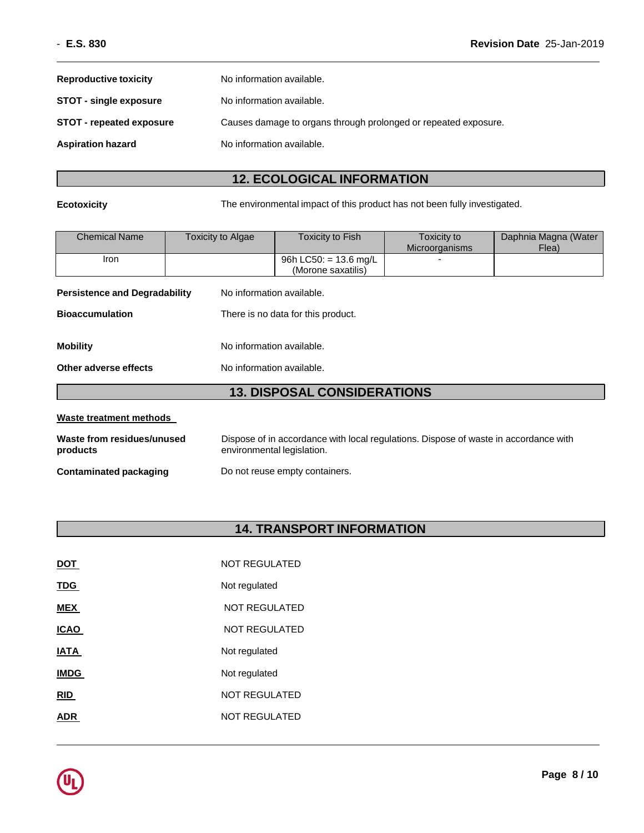| Reproductive toxicity           | No information available.                                       |
|---------------------------------|-----------------------------------------------------------------|
| <b>STOT - single exposure</b>   | No information available.                                       |
| <b>STOT - repeated exposure</b> | Causes damage to organs through prolonged or repeated exposure. |
| <b>Aspiration hazard</b>        | No information available.                                       |
|                                 |                                                                 |

# **12. ECOLOGICAL INFORMATION**

**Ecotoxicity** The environmental impact of this product has not been fully investigated.

| <b>Chemical Name</b>                                              | Toxicity to Algae                  | <b>Toxicity to Fish</b>                               | Toxicity to<br>Microorganisms | Daphnia Magna (Water<br>Flea) |
|-------------------------------------------------------------------|------------------------------------|-------------------------------------------------------|-------------------------------|-------------------------------|
| Iron                                                              |                                    | 96h LC50: = $13.6 \text{ mg/L}$<br>(Morone saxatilis) |                               |                               |
| No information available.<br><b>Persistence and Degradability</b> |                                    |                                                       |                               |                               |
| <b>Bioaccumulation</b>                                            | There is no data for this product. |                                                       |                               |                               |
| <b>Mobility</b><br>No information available.                      |                                    |                                                       |                               |                               |
| No information available.<br>Other adverse effects                |                                    |                                                       |                               |                               |
|                                                                   |                                    | <b>13. DISPOSAL CONSIDERATIONS</b>                    |                               |                               |
| Waste treatment methods                                           |                                    |                                                       |                               |                               |

| Waste from residues/unused | Dispose of in accordance with local regulations. Dispose of waste in accordance with |
|----------------------------|--------------------------------------------------------------------------------------|
| products                   | environmental legislation.                                                           |
| Contaminated packaging     | Do not reuse empty containers.                                                       |

# **14. TRANSPORT INFORMATION**

| <b>DOT</b>  | <b>NOT REGULATED</b> |
|-------------|----------------------|
| <b>TDG</b>  | Not regulated        |
| <b>MEX</b>  | <b>NOT REGULATED</b> |
| <b>ICAO</b> | <b>NOT REGULATED</b> |
| <b>IATA</b> | Not regulated        |
| <b>IMDG</b> | Not regulated        |
| RID         | <b>NOT REGULATED</b> |
| ADR         | NOT REGULATED        |

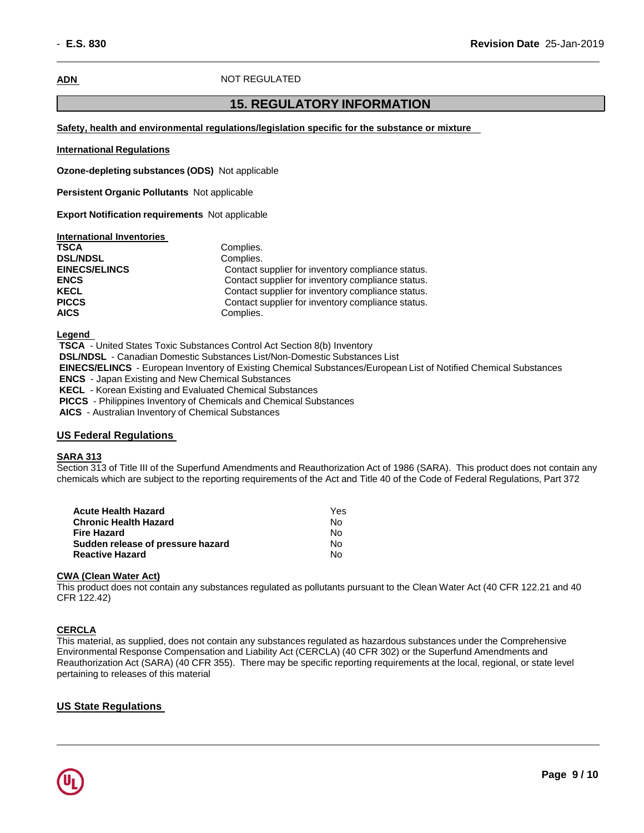### **ADN** NOT REGULATED

# **15. REGULATORY INFORMATION**

#### **Safety, health and environmental regulations/legislation specific for the substance or mixture**

#### **International Regulations**

**Ozone-depleting substances (ODS)** Not applicable

**Persistent Organic Pollutants** Not applicable

**Export Notification requirements** Not applicable

#### **International Inventories**

| <b>TSCA</b>          | Complies.                                         |
|----------------------|---------------------------------------------------|
| <b>DSL/NDSL</b>      | Complies.                                         |
| <b>EINECS/ELINCS</b> | Contact supplier for inventory compliance status. |
| <b>ENCS</b>          | Contact supplier for inventory compliance status. |
| <b>KECL</b>          | Contact supplier for inventory compliance status. |
| <b>PICCS</b>         | Contact supplier for inventory compliance status. |
| <b>AICS</b>          | Complies.                                         |

**Legend** 

**TSCA** - United States Toxic Substances Control Act Section 8(b) Inventory **DSL/NDSL** - Canadian Domestic Substances List/Non-Domestic Substances List **EINECS/ELINCS** - European Inventory of Existing Chemical Substances/European List of Notified Chemical Substances **ENCS** - Japan Existing and New Chemical Substances **KECL** - Korean Existing and Evaluated Chemical Substances **PICCS** - Philippines Inventory of Chemicals and Chemical Substances **AICS** - Australian Inventory of Chemical Substances

#### **US Federal Regulations**

#### **SARA 313**

Section 313 of Title III of the Superfund Amendments and Reauthorization Act of 1986 (SARA). This product does not contain any chemicals which are subject to the reporting requirements of the Act and Title 40 of the Code of Federal Regulations, Part 372

| Acute Health Hazard               | Yes |
|-----------------------------------|-----|
| <b>Chronic Health Hazard</b>      | No. |
| Fire Hazard                       | N٥  |
| Sudden release of pressure hazard | Nο  |
| <b>Reactive Hazard</b>            | N٥  |

#### **CWA (Clean Water Act)**

This product does not contain any substances regulated as pollutants pursuant to the Clean Water Act (40 CFR 122.21 and 40 CFR 122.42)

#### **CERCLA**

This material, as supplied, does not contain any substances regulated as hazardous substances under the Comprehensive Environmental Response Compensation and Liability Act (CERCLA) (40 CFR 302) or the Superfund Amendments and Reauthorization Act (SARA) (40 CFR 355). There may be specific reporting requirements at the local, regional, or state level pertaining to releases of this material

#### **US State Regulations**